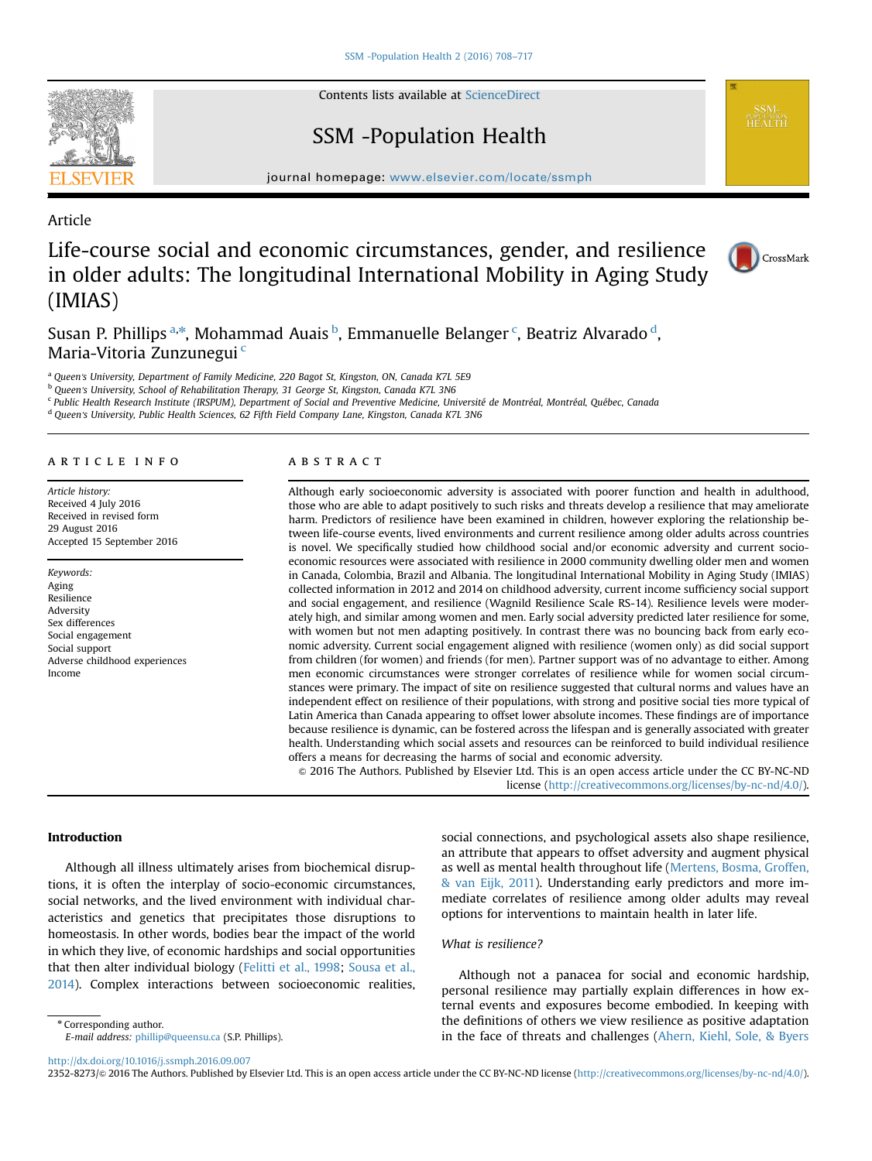Contents lists available at [ScienceDirect](www.sciencedirect.com/science/journal/23528273)

# SSM -Population Health

journal homepage: <www.elsevier.com/locate/ssmph>p/locate/ssmphp/locate/ssmphp/locate/ssm

# Article

# Life-course social and economic circumstances, gender, and resilience in older adults: The longitudinal International Mobility in Aging Study (IMIAS)



Susan P. Phillips <sup>a,\*</sup>, Mohammad Auais <sup>b</sup>, Emmanuelle Belanger <sup>c</sup>, Beatriz Alvarado <sup>d</sup>, Maria-Vitoria Zunzunegui <sup>c</sup>

<sup>a</sup> Queen's University, Department of Family Medicine, 220 Bagot St, Kingston, ON, Canada K7L 5E9

b Queen's University, School of Rehabilitation Therapy, 31 George St, Kingston, Canada K7L 3N6

<sup>c</sup> Public Health Research Institute (IRSPUM), Department of Social and Preventive Medicine, Université de Montréal, Montréal, Québec, Canada

<sup>d</sup> Queen's University, Public Health Sciences, 62 Fifth Field Company Lane, Kingston, Canada K7L 3N6

#### article info

Article history: Received 4 July 2016 Received in revised form 29 August 2016 Accepted 15 September 2016

Keywords: Aging Resilience Adversity Sex differences Social engagement Social support Adverse childhood experiences Income

## **ABSTRACT**

Although early socioeconomic adversity is associated with poorer function and health in adulthood, those who are able to adapt positively to such risks and threats develop a resilience that may ameliorate harm. Predictors of resilience have been examined in children, however exploring the relationship between life-course events, lived environments and current resilience among older adults across countries is novel. We specifically studied how childhood social and/or economic adversity and current socioeconomic resources were associated with resilience in 2000 community dwelling older men and women in Canada, Colombia, Brazil and Albania. The longitudinal International Mobility in Aging Study (IMIAS) collected information in 2012 and 2014 on childhood adversity, current income sufficiency social support and social engagement, and resilience (Wagnild Resilience Scale RS-14). Resilience levels were moderately high, and similar among women and men. Early social adversity predicted later resilience for some, with women but not men adapting positively. In contrast there was no bouncing back from early economic adversity. Current social engagement aligned with resilience (women only) as did social support from children (for women) and friends (for men). Partner support was of no advantage to either. Among men economic circumstances were stronger correlates of resilience while for women social circumstances were primary. The impact of site on resilience suggested that cultural norms and values have an independent effect on resilience of their populations, with strong and positive social ties more typical of Latin America than Canada appearing to offset lower absolute incomes. These findings are of importance because resilience is dynamic, can be fostered across the lifespan and is generally associated with greater health. Understanding which social assets and resources can be reinforced to build individual resilience offers a means for decreasing the harms of social and economic adversity.

& 2016 The Authors. Published by Elsevier Ltd. This is an open access article under the CC BY-NC-ND license (http://creativecommons.org/licenses/by-nc-nd/4.0/).

## Introduction

Although all illness ultimately arises from biochemical disruptions, it is often the interplay of socio-economic circumstances, social networks, and the lived environment with individual characteristics and genetics that precipitates those disruptions to homeostasis. In other words, bodies bear the impact of the world in which they live, of economic hardships and social opportunities that then alter individual biology [\(Felitti et al., 1998](#page-9-0); [Sousa et al.,](#page-9-0) [2014\)](#page-9-0). Complex interactions between socioeconomic realities,

social connections, and psychological assets also shape resilience, an attribute that appears to offset adversity and augment physical as well as mental health throughout life ([Mertens, Bosma, Groffen,](#page-9-0) [& van Eijk, 2011\)](#page-9-0). Understanding early predictors and more immediate correlates of resilience among older adults may reveal options for interventions to maintain health in later life.

## What is resilience?

Although not a panacea for social and economic hardship, personal resilience may partially explain differences in how external events and exposures become embodied. In keeping with the definitions of others we view resilience as positive adaptation in the face of threats and challenges ([Ahern, Kiehl, Sole,](#page-9-0) [& Byers](#page-9-0)

<http://dx.doi.org/10.1016/j.ssmph.2016.09.007>

2352-8273/@ 2016 The Authors. Published by Elsevier Ltd. This is an open access article under the CC BY-NC-ND license (http://creativecommons.org/licenses/by-nc-nd/4.0/).



<sup>\*</sup> Corresponding author. E-mail address: [phillip@queensu.ca](mailto:phillip@queensu.ca) (S.P. Phillips).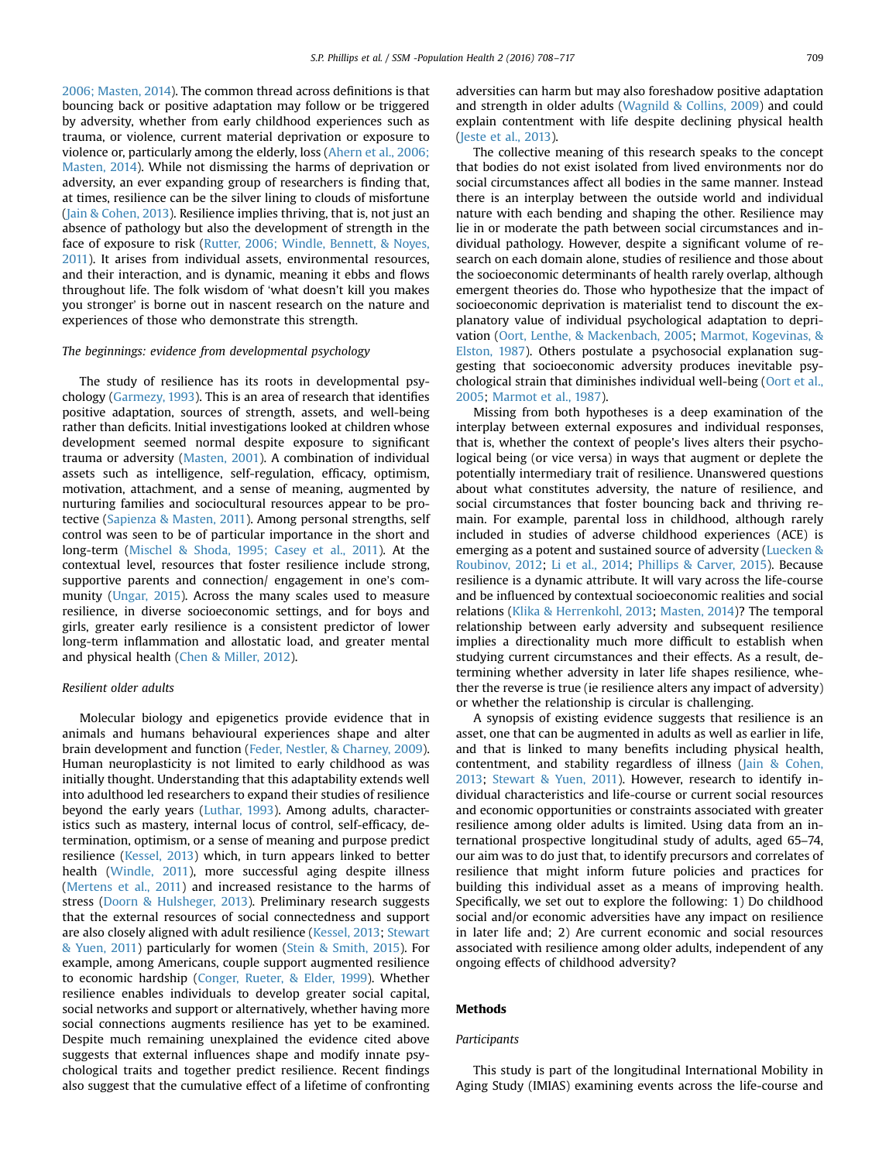[2006; Masten, 2014\)](#page-9-0). The common thread across definitions is that bouncing back or positive adaptation may follow or be triggered by adversity, whether from early childhood experiences such as trauma, or violence, current material deprivation or exposure to violence or, particularly among the elderly, loss [\(Ahern et al., 2006;](#page-9-0) [Masten, 2014](#page-9-0)). While not dismissing the harms of deprivation or adversity, an ever expanding group of researchers is finding that, at times, resilience can be the silver lining to clouds of misfortune ([Jain & Cohen, 2013\)](#page-9-0). Resilience implies thriving, that is, not just an absence of pathology but also the development of strength in the face of exposure to risk [\(Rutter, 2006; Windle, Bennett,](#page-9-0) & Noves, [2011](#page-9-0)). It arises from individual assets, environmental resources, and their interaction, and is dynamic, meaning it ebbs and flows throughout life. The folk wisdom of 'what doesn't kill you makes you stronger' is borne out in nascent research on the nature and experiences of those who demonstrate this strength.

## The beginnings: evidence from developmental psychology

The study of resilience has its roots in developmental psychology [\(Garmezy, 1993](#page-9-0)). This is an area of research that identifies positive adaptation, sources of strength, assets, and well-being rather than deficits. Initial investigations looked at children whose development seemed normal despite exposure to significant trauma or adversity [\(Masten, 2001](#page-9-0)). A combination of individual assets such as intelligence, self-regulation, efficacy, optimism, motivation, attachment, and a sense of meaning, augmented by nurturing families and sociocultural resources appear to be protective [\(Sapienza & Masten, 2011](#page-9-0)). Among personal strengths, self control was seen to be of particular importance in the short and long-term [\(Mischel](#page-9-0) [& Shoda, 1995; Casey et al., 2011\)](#page-9-0). At the contextual level, resources that foster resilience include strong, supportive parents and connection/ engagement in one's community ([Ungar, 2015](#page-9-0)). Across the many scales used to measure resilience, in diverse socioeconomic settings, and for boys and girls, greater early resilience is a consistent predictor of lower long-term inflammation and allostatic load, and greater mental and physical health ([Chen & Miller, 2012\)](#page-9-0).

#### Resilient older adults

Molecular biology and epigenetics provide evidence that in animals and humans behavioural experiences shape and alter brain development and function [\(Feder, Nestler,](#page-9-0) & [Charney, 2009\)](#page-9-0). Human neuroplasticity is not limited to early childhood as was initially thought. Understanding that this adaptability extends well into adulthood led researchers to expand their studies of resilience beyond the early years [\(Luthar, 1993](#page-9-0)). Among adults, characteristics such as mastery, internal locus of control, self-efficacy, determination, optimism, or a sense of meaning and purpose predict resilience [\(Kessel, 2013](#page-9-0)) which, in turn appears linked to better health ([Windle, 2011](#page-9-0)), more successful aging despite illness ([Mertens et al., 2011](#page-9-0)) and increased resistance to the harms of stress ([Doorn](#page-9-0) & [Hulsheger, 2013](#page-9-0)). Preliminary research suggests that the external resources of social connectedness and support are also closely aligned with adult resilience ([Kessel, 2013;](#page-9-0) [Stewart](#page-9-0) [& Yuen, 2011\)](#page-9-0) particularly for women [\(Stein](#page-9-0) & [Smith, 2015](#page-9-0)). For example, among Americans, couple support augmented resilience to economic hardship [\(Conger, Rueter, & Elder, 1999\)](#page-9-0). Whether resilience enables individuals to develop greater social capital, social networks and support or alternatively, whether having more social connections augments resilience has yet to be examined. Despite much remaining unexplained the evidence cited above suggests that external influences shape and modify innate psychological traits and together predict resilience. Recent findings also suggest that the cumulative effect of a lifetime of confronting

adversities can harm but may also foreshadow positive adaptation and strength in older adults ([Wagnild](#page-9-0) & [Collins, 2009\)](#page-9-0) and could explain contentment with life despite declining physical health ([Jeste et al., 2013\)](#page-9-0).

The collective meaning of this research speaks to the concept that bodies do not exist isolated from lived environments nor do social circumstances affect all bodies in the same manner. Instead there is an interplay between the outside world and individual nature with each bending and shaping the other. Resilience may lie in or moderate the path between social circumstances and individual pathology. However, despite a significant volume of research on each domain alone, studies of resilience and those about the socioeconomic determinants of health rarely overlap, although emergent theories do. Those who hypothesize that the impact of socioeconomic deprivation is materialist tend to discount the explanatory value of individual psychological adaptation to deprivation ([Oort, Lenthe,](#page-9-0) & [Mackenbach, 2005;](#page-9-0) [Marmot, Kogevinas, &](#page-9-0) [Elston, 1987\)](#page-9-0). Others postulate a psychosocial explanation suggesting that socioeconomic adversity produces inevitable psychological strain that diminishes individual well-being [\(Oort et al.,](#page-9-0) [2005;](#page-9-0) [Marmot et al., 1987\)](#page-9-0).

Missing from both hypotheses is a deep examination of the interplay between external exposures and individual responses, that is, whether the context of people's lives alters their psychological being (or vice versa) in ways that augment or deplete the potentially intermediary trait of resilience. Unanswered questions about what constitutes adversity, the nature of resilience, and social circumstances that foster bouncing back and thriving remain. For example, parental loss in childhood, although rarely included in studies of adverse childhood experiences (ACE) is emerging as a potent and sustained source of adversity ([Luecken &](#page-9-0) [Roubinov, 2012;](#page-9-0) [Li et al., 2014;](#page-9-0) [Phillips](#page-9-0) & [Carver, 2015](#page-9-0)). Because resilience is a dynamic attribute. It will vary across the life-course and be influenced by contextual socioeconomic realities and social relations [\(Klika & Herrenkohl, 2013;](#page-9-0) [Masten, 2014\)](#page-9-0)? The temporal relationship between early adversity and subsequent resilience implies a directionality much more difficult to establish when studying current circumstances and their effects. As a result, determining whether adversity in later life shapes resilience, whether the reverse is true (ie resilience alters any impact of adversity) or whether the relationship is circular is challenging.

A synopsis of existing evidence suggests that resilience is an asset, one that can be augmented in adults as well as earlier in life, and that is linked to many benefits including physical health, contentment, and stability regardless of illness ([Jain](#page-9-0) [& Cohen,](#page-9-0) [2013;](#page-9-0) [Stewart & Yuen, 2011](#page-9-0)). However, research to identify individual characteristics and life-course or current social resources and economic opportunities or constraints associated with greater resilience among older adults is limited. Using data from an international prospective longitudinal study of adults, aged 65–74, our aim was to do just that, to identify precursors and correlates of resilience that might inform future policies and practices for building this individual asset as a means of improving health. Specifically, we set out to explore the following: 1) Do childhood social and/or economic adversities have any impact on resilience in later life and; 2) Are current economic and social resources associated with resilience among older adults, independent of any ongoing effects of childhood adversity?

#### Methods

#### Participants

This study is part of the longitudinal International Mobility in Aging Study (IMIAS) examining events across the life-course and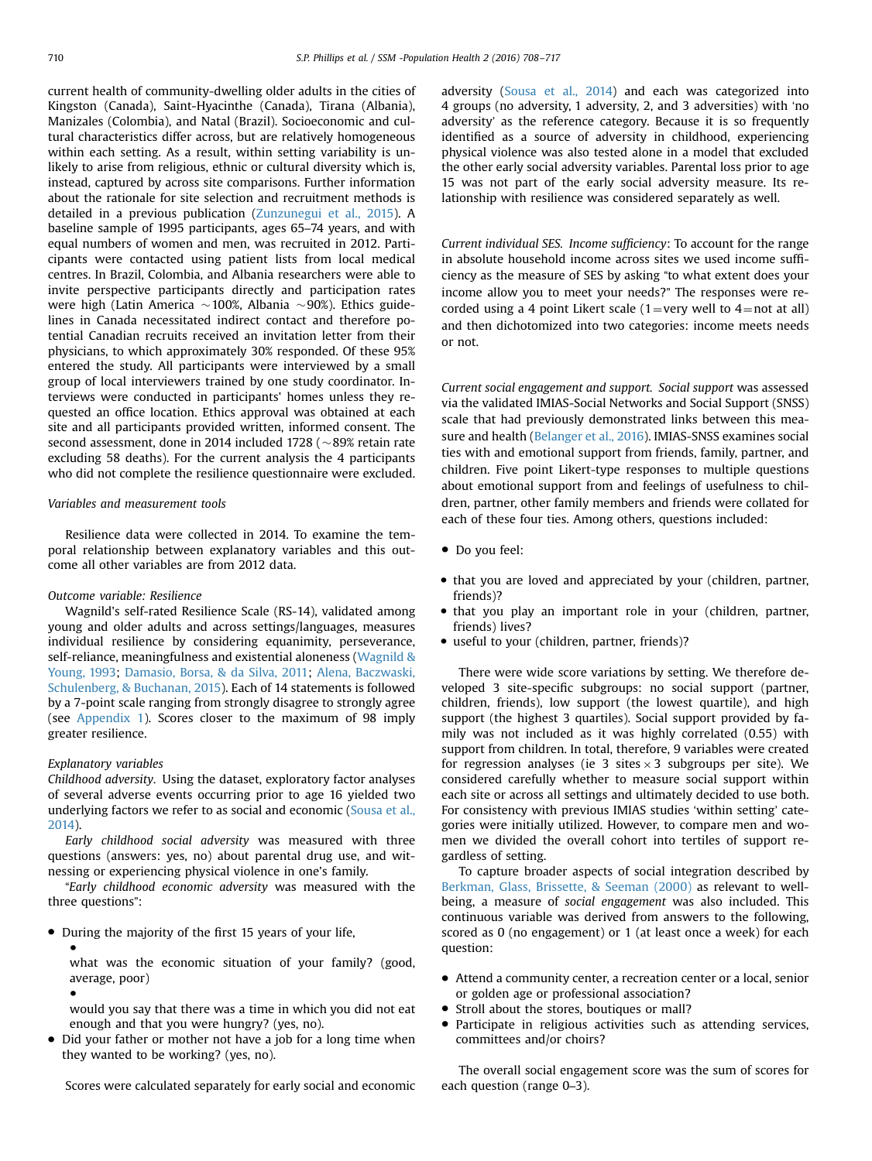current health of community-dwelling older adults in the cities of Kingston (Canada), Saint-Hyacinthe (Canada), Tirana (Albania), Manizales (Colombia), and Natal (Brazil). Socioeconomic and cultural characteristics differ across, but are relatively homogeneous within each setting. As a result, within setting variability is unlikely to arise from religious, ethnic or cultural diversity which is, instead, captured by across site comparisons. Further information about the rationale for site selection and recruitment methods is detailed in a previous publication [\(Zunzunegui et al., 2015](#page-9-0)). A baseline sample of 1995 participants, ages 65–74 years, and with equal numbers of women and men, was recruited in 2012. Participants were contacted using patient lists from local medical centres. In Brazil, Colombia, and Albania researchers were able to invite perspective participants directly and participation rates were high (Latin America  $\sim$  100%, Albania  $\sim$  90%). Ethics guidelines in Canada necessitated indirect contact and therefore potential Canadian recruits received an invitation letter from their physicians, to which approximately 30% responded. Of these 95% entered the study. All participants were interviewed by a small group of local interviewers trained by one study coordinator. Interviews were conducted in participants' homes unless they requested an office location. Ethics approval was obtained at each site and all participants provided written, informed consent. The second assessment, done in 2014 included 1728 ( $\sim$ 89% retain rate excluding 58 deaths). For the current analysis the 4 participants who did not complete the resilience questionnaire were excluded.

## Variables and measurement tools

Resilience data were collected in 2014. To examine the temporal relationship between explanatory variables and this outcome all other variables are from 2012 data.

## Outcome variable: Resilience

Wagnild's self-rated Resilience Scale (RS-14), validated among young and older adults and across settings/languages, measures individual resilience by considering equanimity, perseverance, self-reliance, meaningfulness and existential aloneness [\(Wagnild](#page-9-0) & [Young, 1993](#page-9-0); [Damasio, Borsa, & da Silva, 2011;](#page-9-0) [Alena, Baczwaski,](#page-9-0) [Schulenberg, & Buchanan, 2015\)](#page-9-0). Each of 14 statements is followed by a 7-point scale ranging from strongly disagree to strongly agree (see [Appendix 1](#page-8-0)). Scores closer to the maximum of 98 imply greater resilience.

## Explanatory variables

●

●

Childhood adversity. Using the dataset, exploratory factor analyses of several adverse events occurring prior to age 16 yielded two underlying factors we refer to as social and economic ([Sousa et al.,](#page-9-0) [2014\)](#page-9-0).

Early childhood social adversity was measured with three questions (answers: yes, no) about parental drug use, and witnessing or experiencing physical violence in one's family.

"Early childhood economic adversity was measured with the three questions":

During the majority of the first 15 years of your life,

what was the economic situation of your family? (good, average, poor)

would you say that there was a time in which you did not eat enough and that you were hungry? (yes, no).

• Did your father or mother not have a job for a long time when they wanted to be working? (yes, no).

Scores were calculated separately for early social and economic

adversity ([Sousa et al., 2014](#page-9-0)) and each was categorized into 4 groups (no adversity, 1 adversity, 2, and 3 adversities) with 'no adversity' as the reference category. Because it is so frequently identified as a source of adversity in childhood, experiencing physical violence was also tested alone in a model that excluded the other early social adversity variables. Parental loss prior to age 15 was not part of the early social adversity measure. Its relationship with resilience was considered separately as well.

Current individual SES. Income sufficiency: To account for the range in absolute household income across sites we used income sufficiency as the measure of SES by asking "to what extent does your income allow you to meet your needs?" The responses were recorded using a 4 point Likert scale (1=very well to  $4=$ not at all) and then dichotomized into two categories: income meets needs or not.

Current social engagement and support. Social support was assessed via the validated IMIAS-Social Networks and Social Support (SNSS) scale that had previously demonstrated links between this measure and health [\(Belanger et al., 2016\)](#page-9-0). IMIAS-SNSS examines social ties with and emotional support from friends, family, partner, and children. Five point Likert-type responses to multiple questions about emotional support from and feelings of usefulness to children, partner, other family members and friends were collated for each of these four ties. Among others, questions included:

- Do you feel:
- that you are loved and appreciated by your (children, partner, friends)?
- that you play an important role in your (children, partner, friends) lives?
- useful to your (children, partner, friends)?

There were wide score variations by setting. We therefore developed 3 site-specific subgroups: no social support (partner, children, friends), low support (the lowest quartile), and high support (the highest 3 quartiles). Social support provided by family was not included as it was highly correlated (0.55) with support from children. In total, therefore, 9 variables were created for regression analyses (ie 3 sites  $\times$  3 subgroups per site). We considered carefully whether to measure social support within each site or across all settings and ultimately decided to use both. For consistency with previous IMIAS studies 'within setting' categories were initially utilized. However, to compare men and women we divided the overall cohort into tertiles of support regardless of setting.

To capture broader aspects of social integration described by [Berkman, Glass, Brissette,](#page-9-0) [& Seeman \(2000\)](#page-9-0) as relevant to wellbeing, a measure of social engagement was also included. This continuous variable was derived from answers to the following, scored as 0 (no engagement) or 1 (at least once a week) for each question:

- Attend a community center, a recreation center or a local, senior or golden age or professional association?
- Stroll about the stores, boutiques or mall?
- Participate in religious activities such as attending services, committees and/or choirs?

The overall social engagement score was the sum of scores for each question (range 0–3).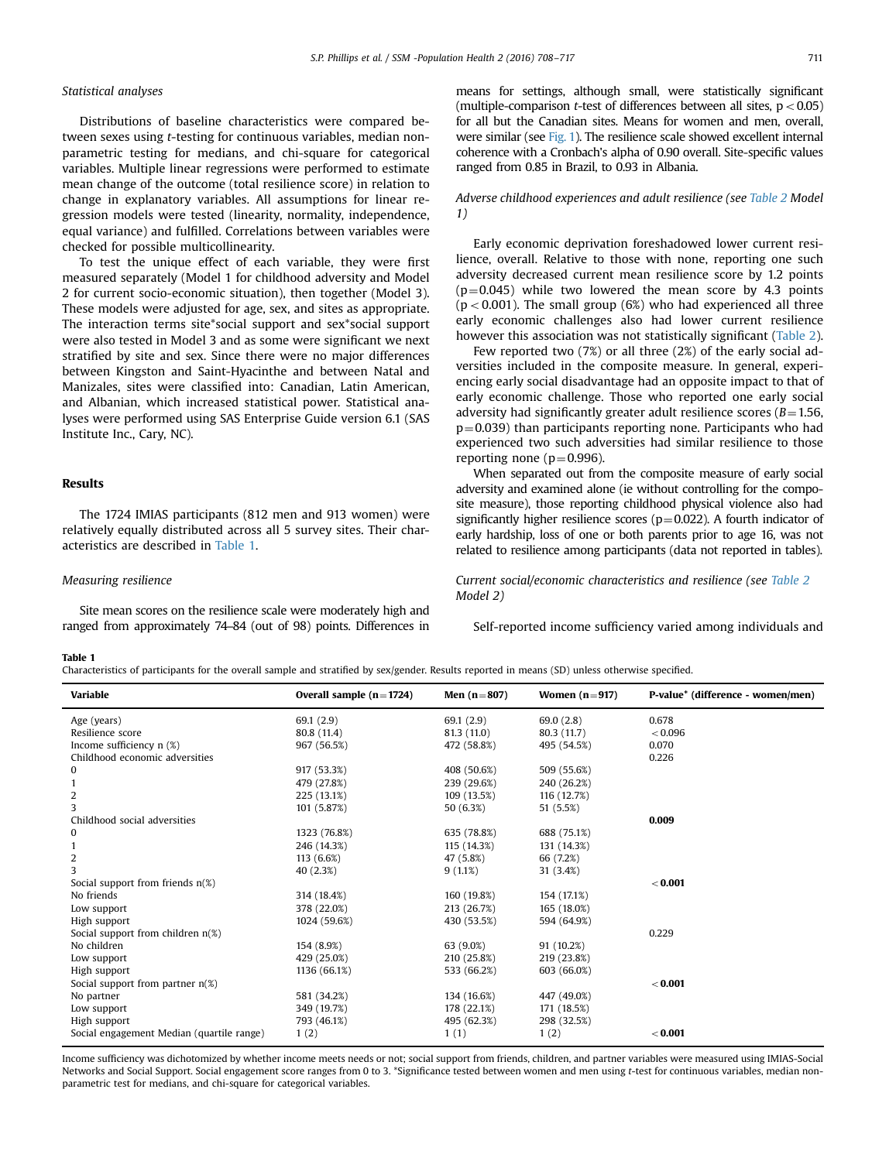## Statistical analyses

Distributions of baseline characteristics were compared between sexes using t-testing for continuous variables, median nonparametric testing for medians, and chi-square for categorical variables. Multiple linear regressions were performed to estimate mean change of the outcome (total resilience score) in relation to change in explanatory variables. All assumptions for linear regression models were tested (linearity, normality, independence, equal variance) and fulfilled. Correlations between variables were checked for possible multicollinearity.

To test the unique effect of each variable, they were first measured separately (Model 1 for childhood adversity and Model 2 for current socio-economic situation), then together (Model 3). These models were adjusted for age, sex, and sites as appropriate. The interaction terms site\*social support and sex\*social support were also tested in Model 3 and as some were significant we next stratified by site and sex. Since there were no major differences between Kingston and Saint-Hyacinthe and between Natal and Manizales, sites were classified into: Canadian, Latin American, and Albanian, which increased statistical power. Statistical analyses were performed using SAS Enterprise Guide version 6.1 (SAS Institute Inc., Cary, NC).

## Results

The 1724 IMIAS participants (812 men and 913 women) were relatively equally distributed across all 5 survey sites. Their characteristics are described in Table 1.

## Measuring resilience

Site mean scores on the resilience scale were moderately high and ranged from approximately 74–84 (out of 98) points. Differences in means for settings, although small, were statistically significant (multiple-comparison *t*-test of differences between all sites,  $p < 0.05$ ) for all but the Canadian sites. Means for women and men, overall, were similar (see [Fig. 1\)](#page-4-0). The resilience scale showed excellent internal coherence with a Cronbach's alpha of 0.90 overall. Site-specific values ranged from 0.85 in Brazil, to 0.93 in Albania.

## Adverse childhood experiences and adult resilience (see [Table 2](#page-4-0) Model 1)

Early economic deprivation foreshadowed lower current resilience, overall. Relative to those with none, reporting one such adversity decreased current mean resilience score by 1.2 points  $(p=0.045)$  while two lowered the mean score by 4.3 points  $(p < 0.001)$ . The small group (6%) who had experienced all three early economic challenges also had lower current resilience however this association was not statistically significant [\(Table 2\)](#page-4-0).

Few reported two (7%) or all three (2%) of the early social adversities included in the composite measure. In general, experiencing early social disadvantage had an opposite impact to that of early economic challenge. Those who reported one early social adversity had significantly greater adult resilience scores ( $B=1.56$ ,  $p=0.039$ ) than participants reporting none. Participants who had experienced two such adversities had similar resilience to those reporting none ( $p=0.996$ ).

When separated out from the composite measure of early social adversity and examined alone (ie without controlling for the composite measure), those reporting childhood physical violence also had significantly higher resilience scores ( $p=0.022$ ). A fourth indicator of early hardship, loss of one or both parents prior to age 16, was not related to resilience among participants (data not reported in tables).

Current social/economic characteristics and resilience (see [Table 2](#page-4-0) Model 2)

Self-reported income sufficiency varied among individuals and

# Table 1

Characteristics of participants for the overall sample and stratified by sex/gender. Results reported in means (SD) unless otherwise specified.

| enaracteristics or participants for the overan sample and struthled by sexpender, hesalts reported in means (SD) unless otherwise specified. |                           |               |                 |                                   |  |  |  |  |  |
|----------------------------------------------------------------------------------------------------------------------------------------------|---------------------------|---------------|-----------------|-----------------------------------|--|--|--|--|--|
| Variable                                                                                                                                     | Overall sample $(n=1724)$ | Men $(n=807)$ | Women $(n=917)$ | P-value* (difference - women/men) |  |  |  |  |  |
| Age (years)                                                                                                                                  | 69.1(2.9)                 | 69.1(2.9)     | 69.0(2.8)       | 0.678                             |  |  |  |  |  |
| Resilience score                                                                                                                             | 80.8 (11.4)               | 81.3(11.0)    | 80.3 (11.7)     | < 0.096                           |  |  |  |  |  |
| Income sufficiency $n$ (%)                                                                                                                   | 967 (56.5%)               | 472 (58.8%)   | 495 (54.5%)     | 0.070                             |  |  |  |  |  |
| Childhood economic adversities                                                                                                               |                           |               |                 | 0.226                             |  |  |  |  |  |
| 0                                                                                                                                            | 917 (53.3%)               | 408 (50.6%)   | 509 (55.6%)     |                                   |  |  |  |  |  |
| $\mathbf{1}$                                                                                                                                 | 479 (27.8%)               | 239 (29.6%)   | 240 (26.2%)     |                                   |  |  |  |  |  |
| 2                                                                                                                                            | 225 (13.1%)               | 109 (13.5%)   | 116 (12.7%)     |                                   |  |  |  |  |  |
| 3                                                                                                                                            | 101 (5.87%)               | 50 (6.3%)     | 51 (5.5%)       |                                   |  |  |  |  |  |
| Childhood social adversities                                                                                                                 |                           |               |                 | 0.009                             |  |  |  |  |  |
| 0                                                                                                                                            | 1323 (76.8%)              | 635 (78.8%)   | 688 (75.1%)     |                                   |  |  |  |  |  |
| $\mathbf{1}$                                                                                                                                 | 246 (14.3%)               | 115 (14.3%)   | 131 (14.3%)     |                                   |  |  |  |  |  |
| 2                                                                                                                                            | 113 (6.6%)                | 47 (5.8%)     | 66 (7.2%)       |                                   |  |  |  |  |  |
| 3                                                                                                                                            | 40 (2.3%)                 | 9(1.1%)       | 31 (3.4%)       |                                   |  |  |  |  |  |
| Social support from friends $n(\%)$                                                                                                          |                           |               |                 | < 0.001                           |  |  |  |  |  |
| No friends                                                                                                                                   | 314 (18.4%)               | 160 (19.8%)   | 154 (17.1%)     |                                   |  |  |  |  |  |
| Low support                                                                                                                                  | 378 (22.0%)               | 213 (26.7%)   | 165 (18.0%)     |                                   |  |  |  |  |  |
| High support                                                                                                                                 | 1024 (59.6%)              | 430 (53.5%)   | 594 (64.9%)     |                                   |  |  |  |  |  |
| Social support from children $n(\%)$                                                                                                         |                           |               |                 | 0.229                             |  |  |  |  |  |
| No children                                                                                                                                  | 154 (8.9%)                | 63 (9.0%)     | 91 (10.2%)      |                                   |  |  |  |  |  |
| Low support                                                                                                                                  | 429 (25.0%)               | 210 (25.8%)   | 219 (23.8%)     |                                   |  |  |  |  |  |
| High support                                                                                                                                 | 1136 (66.1%)              | 533 (66.2%)   | 603 (66.0%)     |                                   |  |  |  |  |  |
| Social support from partner $n(\%)$                                                                                                          |                           |               |                 | < 0.001                           |  |  |  |  |  |
| No partner                                                                                                                                   | 581 (34.2%)               | 134 (16.6%)   | 447 (49.0%)     |                                   |  |  |  |  |  |
| Low support                                                                                                                                  | 349 (19.7%)               | 178 (22.1%)   | 171 (18.5%)     |                                   |  |  |  |  |  |
| High support                                                                                                                                 | 793 (46.1%)               | 495 (62.3%)   | 298 (32.5%)     |                                   |  |  |  |  |  |
| Social engagement Median (quartile range)                                                                                                    | 1(2)                      | 1(1)          | 1(2)            | < 0.001                           |  |  |  |  |  |

Income sufficiency was dichotomized by whether income meets needs or not; social support from friends, children, and partner variables were measured using IMIAS-Social Networks and Social Support. Social engagement score ranges from 0 to 3. \*Significance tested between women and men using t-test for continuous variables, median nonparametric test for medians, and chi-square for categorical variables.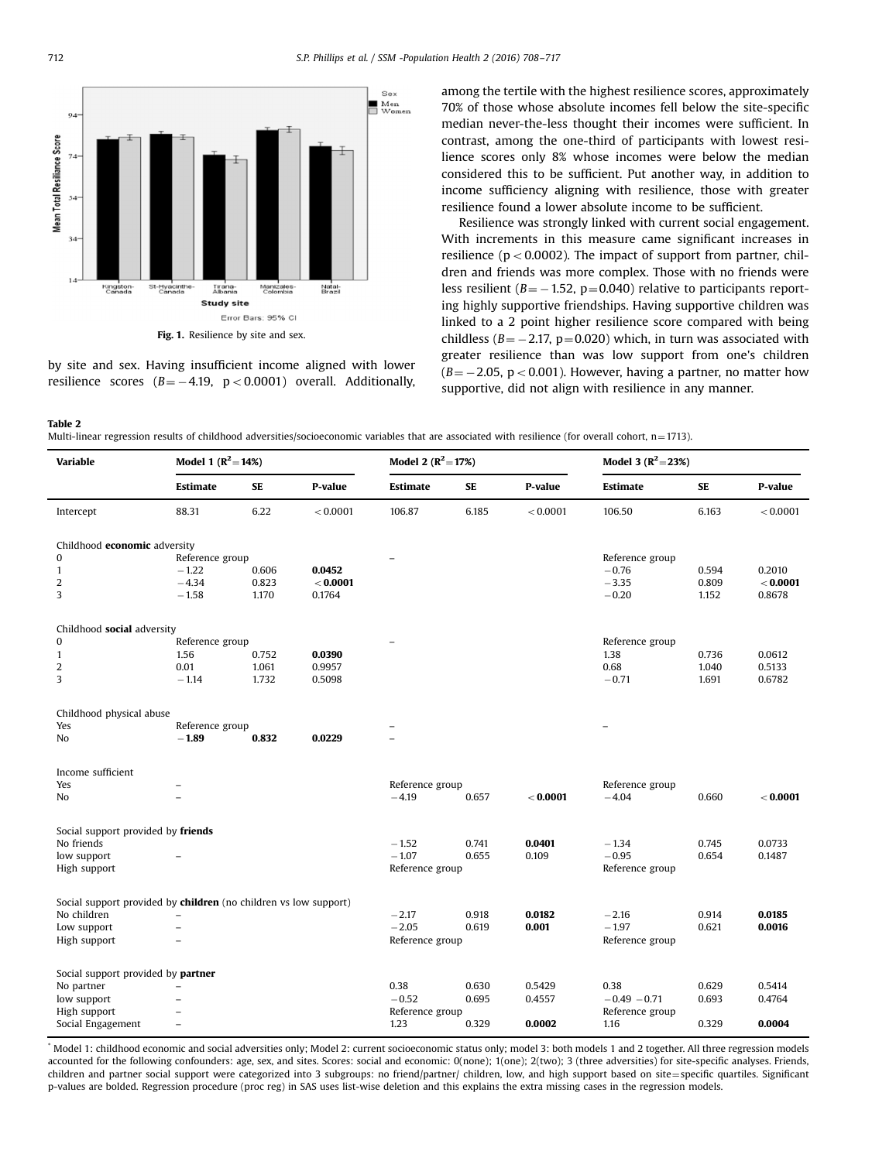<span id="page-4-0"></span>

by site and sex. Having insufficient income aligned with lower resilience scores  $(B = -4.19, p < 0.0001)$  overall. Additionally, among the tertile with the highest resilience scores, approximately 70% of those whose absolute incomes fell below the site-specific median never-the-less thought their incomes were sufficient. In contrast, among the one-third of participants with lowest resilience scores only 8% whose incomes were below the median considered this to be sufficient. Put another way, in addition to income sufficiency aligning with resilience, those with greater resilience found a lower absolute income to be sufficient.

Resilience was strongly linked with current social engagement. With increments in this measure came significant increases in resilience ( $p < 0.0002$ ). The impact of support from partner, children and friends was more complex. Those with no friends were less resilient ( $B = -1.52$ , p=0.040) relative to participants reporting highly supportive friendships. Having supportive children was linked to a 2 point higher resilience score compared with being childless ( $B = -2.17$ , p=0.020) which, in turn was associated with greater resilience than was low support from one's children  $(B = -2.05, p < 0.001)$ . However, having a partner, no matter how supportive, did not align with resilience in any manner.

Table 2

Multi-linear regression results of childhood adversities/socioeconomic variables that are associated with resilience (for overall cohort, n=1713).

| <b>Variable</b>                                                  | Model 1 $(R^2 = 14\%)$   |           |          | Model 2 $(R^2 = 17\%)$ |       |          | Model 3 $(R^2 = 23\%)$ |           |          |
|------------------------------------------------------------------|--------------------------|-----------|----------|------------------------|-------|----------|------------------------|-----------|----------|
|                                                                  | <b>Estimate</b>          | <b>SE</b> | P-value  | Estimate               | SE    | P-value  | Estimate               | <b>SE</b> | P-value  |
| Intercept                                                        | 88.31                    | 6.22      | < 0.0001 | 106.87                 | 6.185 | < 0.0001 | 106.50                 | 6.163     | < 0.0001 |
| Childhood economic adversity                                     |                          |           |          |                        |       |          |                        |           |          |
| 0                                                                | Reference group          |           |          |                        |       |          | Reference group        |           |          |
| $\mathbf{1}$                                                     | $-1.22$                  | 0.606     | 0.0452   |                        |       |          | $-0.76$                | 0.594     | 0.2010   |
| $\boldsymbol{2}$                                                 | $-4.34$                  | 0.823     | < 0.0001 |                        |       |          | $-3.35$                | 0.809     | < 0.0001 |
| 3                                                                | $-1.58$                  | 1.170     | 0.1764   |                        |       |          | $-0.20$                | 1.152     | 0.8678   |
| Childhood social adversity                                       |                          |           |          |                        |       |          |                        |           |          |
| $\mathbf{0}$                                                     | Reference group          |           |          |                        |       |          | Reference group        |           |          |
| $\mathbf{1}$                                                     | 1.56                     | 0.752     | 0.0390   |                        |       |          | 1.38                   | 0.736     | 0.0612   |
| $\overline{2}$                                                   | 0.01                     | 1.061     | 0.9957   |                        |       |          | 0.68                   | 1.040     | 0.5133   |
| 3                                                                | $-1.14$                  | 1.732     | 0.5098   |                        |       |          | $-0.71$                | 1.691     | 0.6782   |
| Childhood physical abuse                                         |                          |           |          |                        |       |          |                        |           |          |
| Yes                                                              | Reference group          |           |          |                        |       |          |                        |           |          |
| No                                                               | $-1.89$                  | 0.832     | 0.0229   |                        |       |          |                        |           |          |
| Income sufficient                                                |                          |           |          |                        |       |          |                        |           |          |
| Yes                                                              |                          |           |          | Reference group        |       |          | Reference group        |           |          |
| No                                                               |                          |           |          | $-4.19$                | 0.657 | < 0.0001 | $-4.04$                | 0.660     | < 0.0001 |
| Social support provided by friends                               |                          |           |          |                        |       |          |                        |           |          |
| No friends                                                       |                          |           |          | $-1.52$                | 0.741 | 0.0401   | $-1.34$                | 0.745     | 0.0733   |
| low support                                                      |                          |           |          | $-1.07$                | 0.655 | 0.109    | $-0.95$                | 0.654     | 0.1487   |
| High support                                                     |                          |           |          | Reference group        |       |          | Reference group        |           |          |
| Social support provided by children (no children vs low support) |                          |           |          |                        |       |          |                        |           |          |
| No children                                                      |                          |           |          | $-2.17$                | 0.918 | 0.0182   | $-2.16$                | 0.914     | 0.0185   |
| Low support                                                      | $\equiv$                 |           |          | $-2.05$                | 0.619 | 0.001    | $-1.97$                | 0.621     | 0.0016   |
| High support                                                     |                          |           |          | Reference group        |       |          | Reference group        |           |          |
| Social support provided by partner                               |                          |           |          |                        |       |          |                        |           |          |
| No partner                                                       |                          |           |          | 0.38                   | 0.630 | 0.5429   | 0.38                   | 0.629     | 0.5414   |
| low support                                                      |                          |           |          | $-0.52$                | 0.695 | 0.4557   | $-0.49 - 0.71$         | 0.693     | 0.4764   |
| High support                                                     |                          |           |          | Reference group        |       |          | Reference group        |           |          |
| Social Engagement                                                | $\overline{\phantom{m}}$ |           |          | 1.23                   | 0.329 | 0.0002   | 1.16                   | 0.329     | 0.0004   |

Model 1: childhood economic and social adversities only; Model 2: current socioeconomic status only; model 3: both models 1 and 2 together. All three regression models accounted for the following confounders: age, sex, and sites. Scores: social and economic: 0(none); 1(one); 2(two); 3 (three adversities) for site-specific analyses. Friends, children and partner social support were categorized into 3 subgroups: no friend/partner/ children, low, and high support based on site=specific quartiles. Significant p-values are bolded. Regression procedure (proc reg) in SAS uses list-wise deletion and this explains the extra missing cases in the regression models.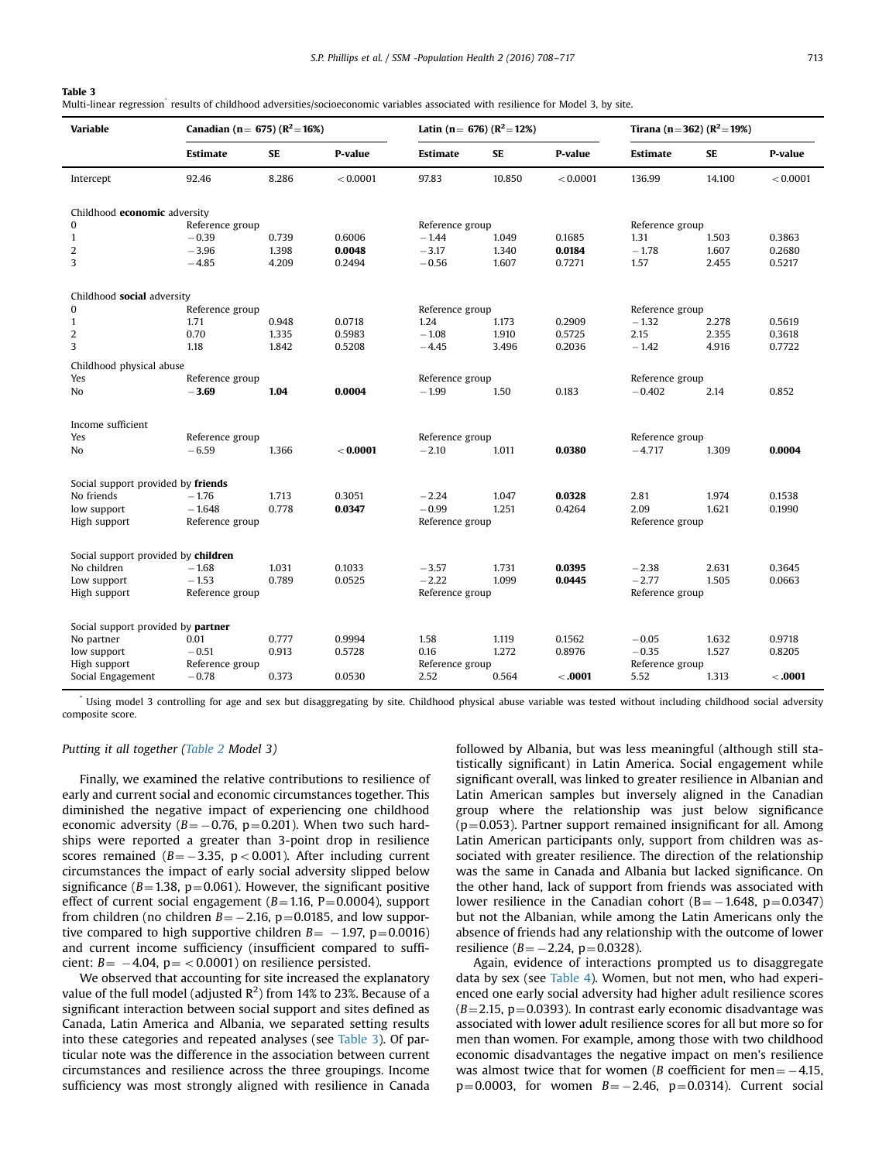## Table 3

Multi-linear regression<sup>\*</sup> results of childhood adversities/socioeconomic variables associated with resilience for Model 3, by site.

| <b>Variable</b>                     | Canadian (n = 675) ( $R^2$ = 16%) |       |          | Latin (n = 676) ( $R^2$ = 12%) |        |          | Tirana (n=362) ( $R^2 = 19\%$ ) |           |          |
|-------------------------------------|-----------------------------------|-------|----------|--------------------------------|--------|----------|---------------------------------|-----------|----------|
|                                     | Estimate                          | SE    | P-value  | Estimate                       | SE     | P-value  | Estimate                        | <b>SE</b> | P-value  |
| Intercept                           | 92.46                             | 8.286 | < 0.0001 | 97.83                          | 10.850 | < 0.0001 | 136.99                          | 14.100    | < 0.0001 |
| Childhood economic adversity        |                                   |       |          |                                |        |          |                                 |           |          |
| 0                                   | Reference group                   |       |          | Reference group                |        |          | Reference group                 |           |          |
| $\mathbf{1}$                        | $-0.39$                           | 0.739 | 0.6006   | $-1.44$                        | 1.049  | 0.1685   | 1.31                            | 1.503     | 0.3863   |
| $\overline{2}$                      | $-3.96$                           | 1.398 | 0.0048   | $-3.17$                        | 1.340  | 0.0184   | $-1.78$                         | 1.607     | 0.2680   |
| 3                                   | $-4.85$                           | 4.209 | 0.2494   | $-0.56$                        | 1.607  | 0.7271   | 1.57                            | 2.455     | 0.5217   |
| Childhood social adversity          |                                   |       |          |                                |        |          |                                 |           |          |
| $\bf{0}$                            | Reference group                   |       |          | Reference group                |        |          | Reference group                 |           |          |
| $\mathbf{1}$                        | 1.71                              | 0.948 | 0.0718   | 1.24                           | 1.173  | 0.2909   | $-1.32$                         | 2.278     | 0.5619   |
| $\overline{2}$                      | 0.70                              | 1.335 | 0.5983   | $-1.08$                        | 1.910  | 0.5725   | 2.15                            | 2.355     | 0.3618   |
| 3                                   | 1.18                              | 1.842 | 0.5208   | $-4.45$                        | 3.496  | 0.2036   | $-1.42$                         | 4.916     | 0.7722   |
| Childhood physical abuse            |                                   |       |          |                                |        |          |                                 |           |          |
| Yes                                 | Reference group                   |       |          | Reference group                |        |          | Reference group                 |           |          |
| No.                                 | $-3.69$                           | 1.04  | 0.0004   | $-1.99$                        | 1.50   | 0.183    | $-0.402$                        | 2.14      | 0.852    |
| Income sufficient                   |                                   |       |          |                                |        |          |                                 |           |          |
| Yes                                 | Reference group                   |       |          | Reference group                |        |          | Reference group                 |           |          |
| No.                                 | $-6.59$                           | 1.366 | < 0.0001 | $-2.10$                        | 1.011  | 0.0380   | $-4.717$                        | 1.309     | 0.0004   |
| Social support provided by friends  |                                   |       |          |                                |        |          |                                 |           |          |
| No friends                          | $-1.76$                           | 1.713 | 0.3051   | $-2.24$                        | 1.047  | 0.0328   | 2.81                            | 1.974     | 0.1538   |
| low support                         | $-1.648$                          | 0.778 | 0.0347   | $-0.99$                        | 1.251  | 0.4264   | 2.09                            | 1.621     | 0.1990   |
| High support                        | Reference group                   |       |          | Reference group                |        |          | Reference group                 |           |          |
| Social support provided by children |                                   |       |          |                                |        |          |                                 |           |          |
| No children                         | $-1.68$                           | 1.031 | 0.1033   | $-3.57$                        | 1.731  | 0.0395   | $-2.38$                         | 2.631     | 0.3645   |
| Low support                         | $-1.53$                           | 0.789 | 0.0525   | $-2.22$                        | 1.099  | 0.0445   | $-2.77$                         | 1.505     | 0.0663   |
| High support                        | Reference group                   |       |          | Reference group                |        |          | Reference group                 |           |          |
|                                     |                                   |       |          |                                |        |          |                                 |           |          |
| Social support provided by partner  |                                   |       |          |                                |        |          |                                 |           |          |
| No partner                          | 0.01                              | 0.777 | 0.9994   | 1.58                           | 1.119  | 0.1562   | $-0.05$                         | 1.632     | 0.9718   |
| low support                         | $-0.51$                           | 0.913 | 0.5728   | 0.16                           | 1.272  | 0.8976   | $-0.35$                         | 1.527     | 0.8205   |
| High support                        | Reference group                   |       |          | Reference group                |        |          | Reference group                 |           |          |
| Social Engagement                   | $-0.78$                           | 0.373 | 0.0530   | 2.52                           | 0.564  | < .0001  | 5.52                            | 1.313     | < .0001  |

\* Using model 3 controlling for age and sex but disaggregating by site. Childhood physical abuse variable was tested without including childhood social adversity composite score.

## Putting it all together [\(Table 2](#page-4-0) Model 3)

Finally, we examined the relative contributions to resilience of early and current social and economic circumstances together. This diminished the negative impact of experiencing one childhood economic adversity ( $B = -0.76$ , p=0.201). When two such hardships were reported a greater than 3-point drop in resilience scores remained ( $B = -3.35$ , p < 0.001). After including current circumstances the impact of early social adversity slipped below significance ( $B=1.38$ , p=0.061). However, the significant positive effect of current social engagement ( $B=1.16$ , P $=$ 0.0004), support from children (no children  $B = -2.16$ , p=0.0185, and low supportive compared to high supportive children  $B = -1.97$ , p=0.0016) and current income sufficiency (insufficient compared to sufficient:  $B = -4.04$ ,  $p = < 0.0001$ ) on resilience persisted.

We observed that accounting for site increased the explanatory value of the full model (adjusted  $\mathsf{R}^2$ ) from 14% to 23%. Because of a significant interaction between social support and sites defined as Canada, Latin America and Albania, we separated setting results into these categories and repeated analyses (see Table 3). Of particular note was the difference in the association between current circumstances and resilience across the three groupings. Income sufficiency was most strongly aligned with resilience in Canada followed by Albania, but was less meaningful (although still statistically significant) in Latin America. Social engagement while significant overall, was linked to greater resilience in Albanian and Latin American samples but inversely aligned in the Canadian group where the relationship was just below significance  $(p=0.053)$ . Partner support remained insignificant for all. Among Latin American participants only, support from children was associated with greater resilience. The direction of the relationship was the same in Canada and Albania but lacked significance. On the other hand, lack of support from friends was associated with lower resilience in the Canadian cohort ( $B = -1.648$ , p=0.0347) but not the Albanian, while among the Latin Americans only the absence of friends had any relationship with the outcome of lower resilience ( $B = -2.24$ , p=0.0328).

Again, evidence of interactions prompted us to disaggregate data by sex (see [Table 4\)](#page-6-0). Women, but not men, who had experienced one early social adversity had higher adult resilience scores  $(B=2.15, p=0.0393)$ . In contrast early economic disadvantage was associated with lower adult resilience scores for all but more so for men than women. For example, among those with two childhood economic disadvantages the negative impact on men's resilience was almost twice that for women (B coefficient for men  $=$   $-4.15$ ,  $p=0.0003$ , for women  $B=-2.46$ ,  $p=0.0314$ ). Current social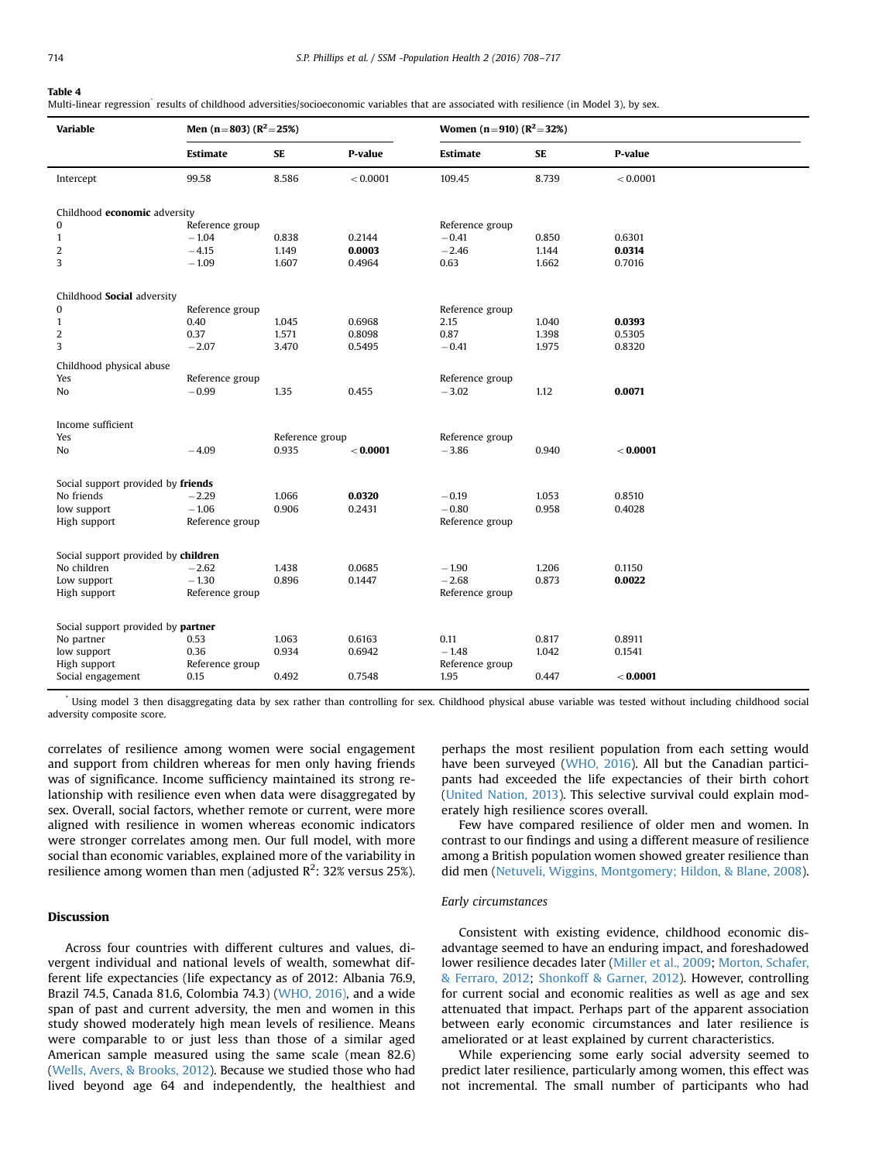#### <span id="page-6-0"></span>Table 4

Multi-linear regression<sup>\*</sup> results of childhood adversities/socioeconomic variables that are associated with resilience (in Model 3), by sex.

| Variable                            | Men (n=803) ( $R^2$ =25%) |                          |          | Women (n=910) ( $R^2$ =32%) |           |          |  |  |
|-------------------------------------|---------------------------|--------------------------|----------|-----------------------------|-----------|----------|--|--|
|                                     | Estimate                  | <b>SE</b>                | P-value  | <b>Estimate</b>             | <b>SE</b> | P-value  |  |  |
| Intercept                           | 99.58                     | 8.586                    | < 0.0001 | 109.45                      | 8.739     | < 0.0001 |  |  |
| Childhood economic adversity        |                           |                          |          |                             |           |          |  |  |
| 0                                   | Reference group           |                          |          | Reference group             |           |          |  |  |
| $\mathbf{1}$                        | $-1.04$                   | 0.838                    | 0.2144   | $-0.41$                     | 0.850     | 0.6301   |  |  |
| $\overline{c}$                      | $-4.15$                   | 1.149                    | 0.0003   | $-2.46$                     | 1.144     | 0.0314   |  |  |
| 3                                   | $-1.09$                   | 1.607                    | 0.4964   | 0.63                        | 1.662     | 0.7016   |  |  |
| Childhood Social adversity          |                           |                          |          |                             |           |          |  |  |
| 0                                   | Reference group           |                          |          | Reference group             |           |          |  |  |
| $\mathbf{1}$                        | 0.40                      | 1.045                    | 0.6968   | 2.15                        | 1.040     | 0.0393   |  |  |
| $\overline{c}$                      | 0.37                      | 1.571                    | 0.8098   | 0.87                        | 1.398     | 0.5305   |  |  |
| 3                                   | $-2.07$                   | 3.470                    | 0.5495   | $-0.41$                     | 1.975     | 0.8320   |  |  |
| Childhood physical abuse            |                           |                          |          |                             |           |          |  |  |
| Yes                                 | Reference group           |                          |          | Reference group             |           |          |  |  |
| No                                  | $-0.99$                   | 1.35                     | 0.455    | $-3.02$                     | 1.12      | 0.0071   |  |  |
|                                     |                           |                          |          |                             |           |          |  |  |
| Income sufficient<br>Yes            |                           |                          |          | Reference group             |           |          |  |  |
| No                                  | $-4.09$                   | Reference group<br>0.935 | < 0.0001 | $-3.86$                     | 0.940     | < 0.0001 |  |  |
|                                     |                           |                          |          |                             |           |          |  |  |
| Social support provided by friends  |                           |                          |          |                             |           |          |  |  |
| No friends                          | $-2.29$                   | 1.066                    | 0.0320   | $-0.19$                     | 1.053     | 0.8510   |  |  |
| low support                         | $-1.06$                   | 0.906                    | 0.2431   | $-0.80$                     | 0.958     | 0.4028   |  |  |
| High support                        | Reference group           |                          |          | Reference group             |           |          |  |  |
| Social support provided by children |                           |                          |          |                             |           |          |  |  |
| No children                         | $-2.62$                   | 1.438                    | 0.0685   | $-1.90$                     | 1.206     | 0.1150   |  |  |
| Low support                         | $-1.30$                   | 0.896                    | 0.1447   | $-2.68$                     | 0.873     | 0.0022   |  |  |
| High support                        | Reference group           |                          |          | Reference group             |           |          |  |  |
|                                     |                           |                          |          |                             |           |          |  |  |
| Social support provided by partner  |                           |                          |          |                             |           |          |  |  |
| No partner                          | 0.53                      | 1.063                    | 0.6163   | 0.11                        | 0.817     | 0.8911   |  |  |
| low support                         | 0.36                      | 0.934                    | 0.6942   | $-1.48$                     | 1.042     | 0.1541   |  |  |
| High support                        | Reference group           |                          |          | Reference group             |           |          |  |  |
| Social engagement                   | 0.15                      | 0.492                    | 0.7548   | 1.95                        | 0.447     | < 0.0001 |  |  |

\* Using model 3 then disaggregating data by sex rather than controlling for sex. Childhood physical abuse variable was tested without including childhood social adversity composite score.

correlates of resilience among women were social engagement and support from children whereas for men only having friends was of significance. Income sufficiency maintained its strong relationship with resilience even when data were disaggregated by sex. Overall, social factors, whether remote or current, were more aligned with resilience in women whereas economic indicators were stronger correlates among men. Our full model, with more social than economic variables, explained more of the variability in resilience among women than men (adjusted R<sup>2</sup>: 32% versus 25%).

## Discussion

Across four countries with different cultures and values, divergent individual and national levels of wealth, somewhat different life expectancies (life expectancy as of 2012: Albania 76.9, Brazil 74.5, Canada 81.6, Colombia 74.3) [\(WHO, 2016\),](#page-9-0) and a wide span of past and current adversity, the men and women in this study showed moderately high mean levels of resilience. Means were comparable to or just less than those of a similar aged American sample measured using the same scale (mean 82.6) ([Wells, Avers,](#page-9-0) [& Brooks, 2012](#page-9-0)). Because we studied those who had lived beyond age 64 and independently, the healthiest and perhaps the most resilient population from each setting would have been surveyed [\(WHO, 2016](#page-9-0)). All but the Canadian participants had exceeded the life expectancies of their birth cohort ([United Nation, 2013\)](#page-9-0). This selective survival could explain moderately high resilience scores overall.

Few have compared resilience of older men and women. In contrast to our findings and using a different measure of resilience among a British population women showed greater resilience than did men ([Netuveli, Wiggins, Montgomery; Hildon,](#page-9-0) & [Blane, 2008\)](#page-9-0).

## Early circumstances

Consistent with existing evidence, childhood economic disadvantage seemed to have an enduring impact, and foreshadowed lower resilience decades later [\(Miller et al., 2009;](#page-9-0) [Morton, Schafer,](#page-9-0) [& Ferraro, 2012;](#page-9-0) [Shonkoff](#page-9-0) [& Garner, 2012\)](#page-9-0). However, controlling for current social and economic realities as well as age and sex attenuated that impact. Perhaps part of the apparent association between early economic circumstances and later resilience is ameliorated or at least explained by current characteristics.

While experiencing some early social adversity seemed to predict later resilience, particularly among women, this effect was not incremental. The small number of participants who had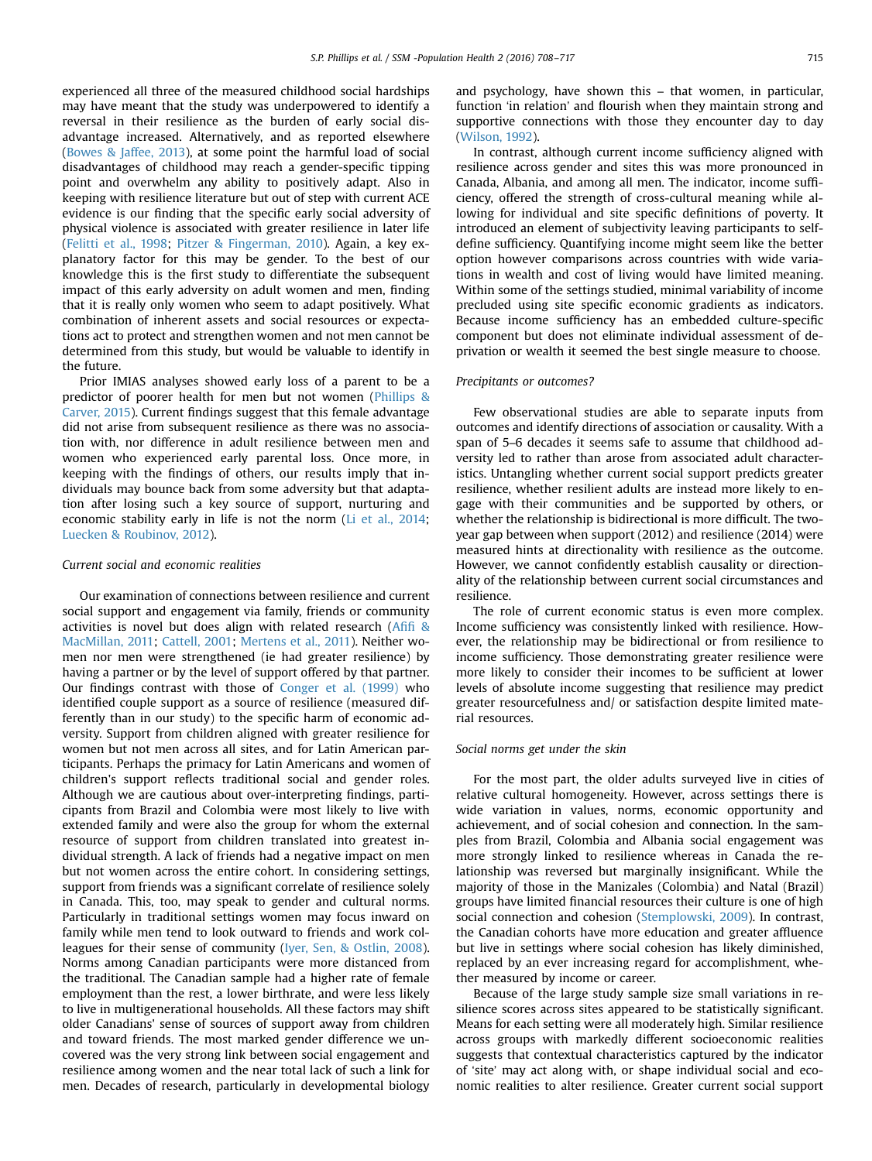experienced all three of the measured childhood social hardships may have meant that the study was underpowered to identify a reversal in their resilience as the burden of early social disadvantage increased. Alternatively, and as reported elsewhere ([Bowes](#page-9-0) [& Jaffee, 2013\)](#page-9-0), at some point the harmful load of social disadvantages of childhood may reach a gender-specific tipping point and overwhelm any ability to positively adapt. Also in keeping with resilience literature but out of step with current ACE evidence is our finding that the specific early social adversity of physical violence is associated with greater resilience in later life ([Felitti et al., 1998](#page-9-0); [Pitzer & Fingerman, 2010\)](#page-9-0). Again, a key explanatory factor for this may be gender. To the best of our knowledge this is the first study to differentiate the subsequent impact of this early adversity on adult women and men, finding that it is really only women who seem to adapt positively. What combination of inherent assets and social resources or expectations act to protect and strengthen women and not men cannot be determined from this study, but would be valuable to identify in the future.

Prior IMIAS analyses showed early loss of a parent to be a predictor of poorer health for men but not women ([Phillips &](#page-9-0) [Carver, 2015](#page-9-0)). Current findings suggest that this female advantage did not arise from subsequent resilience as there was no association with, nor difference in adult resilience between men and women who experienced early parental loss. Once more, in keeping with the findings of others, our results imply that individuals may bounce back from some adversity but that adaptation after losing such a key source of support, nurturing and economic stability early in life is not the norm ([Li et al., 2014;](#page-9-0) [Luecken](#page-9-0) [& Roubinov, 2012](#page-9-0)).

## Current social and economic realities

Our examination of connections between resilience and current social support and engagement via family, friends or community activities is novel but does align with related research (A[fifi](#page-9-0) & [MacMillan, 2011](#page-9-0); [Cattell, 2001;](#page-9-0) [Mertens et al., 2011\)](#page-9-0). Neither women nor men were strengthened (ie had greater resilience) by having a partner or by the level of support offered by that partner. Our findings contrast with those of [Conger et al. \(1999\)](#page-9-0) who identified couple support as a source of resilience (measured differently than in our study) to the specific harm of economic adversity. Support from children aligned with greater resilience for women but not men across all sites, and for Latin American participants. Perhaps the primacy for Latin Americans and women of children's support reflects traditional social and gender roles. Although we are cautious about over-interpreting findings, participants from Brazil and Colombia were most likely to live with extended family and were also the group for whom the external resource of support from children translated into greatest individual strength. A lack of friends had a negative impact on men but not women across the entire cohort. In considering settings, support from friends was a significant correlate of resilience solely in Canada. This, too, may speak to gender and cultural norms. Particularly in traditional settings women may focus inward on family while men tend to look outward to friends and work colleagues for their sense of community ([Iyer, Sen, & Ostlin, 2008\)](#page-9-0). Norms among Canadian participants were more distanced from the traditional. The Canadian sample had a higher rate of female employment than the rest, a lower birthrate, and were less likely to live in multigenerational households. All these factors may shift older Canadians' sense of sources of support away from children and toward friends. The most marked gender difference we uncovered was the very strong link between social engagement and resilience among women and the near total lack of such a link for men. Decades of research, particularly in developmental biology

and psychology, have shown this – that women, in particular, function 'in relation' and flourish when they maintain strong and supportive connections with those they encounter day to day ([Wilson, 1992\)](#page-9-0).

In contrast, although current income sufficiency aligned with resilience across gender and sites this was more pronounced in Canada, Albania, and among all men. The indicator, income sufficiency, offered the strength of cross-cultural meaning while allowing for individual and site specific definitions of poverty. It introduced an element of subjectivity leaving participants to selfdefine sufficiency. Quantifying income might seem like the better option however comparisons across countries with wide variations in wealth and cost of living would have limited meaning. Within some of the settings studied, minimal variability of income precluded using site specific economic gradients as indicators. Because income sufficiency has an embedded culture-specific component but does not eliminate individual assessment of deprivation or wealth it seemed the best single measure to choose.

#### Precipitants or outcomes?

Few observational studies are able to separate inputs from outcomes and identify directions of association or causality. With a span of 5–6 decades it seems safe to assume that childhood adversity led to rather than arose from associated adult characteristics. Untangling whether current social support predicts greater resilience, whether resilient adults are instead more likely to engage with their communities and be supported by others, or whether the relationship is bidirectional is more difficult. The twoyear gap between when support (2012) and resilience (2014) were measured hints at directionality with resilience as the outcome. However, we cannot confidently establish causality or directionality of the relationship between current social circumstances and resilience.

The role of current economic status is even more complex. Income sufficiency was consistently linked with resilience. However, the relationship may be bidirectional or from resilience to income sufficiency. Those demonstrating greater resilience were more likely to consider their incomes to be sufficient at lower levels of absolute income suggesting that resilience may predict greater resourcefulness and/ or satisfaction despite limited material resources.

## Social norms get under the skin

For the most part, the older adults surveyed live in cities of relative cultural homogeneity. However, across settings there is wide variation in values, norms, economic opportunity and achievement, and of social cohesion and connection. In the samples from Brazil, Colombia and Albania social engagement was more strongly linked to resilience whereas in Canada the relationship was reversed but marginally insignificant. While the majority of those in the Manizales (Colombia) and Natal (Brazil) groups have limited financial resources their culture is one of high social connection and cohesion [\(Stemplowski, 2009](#page-9-0)). In contrast, the Canadian cohorts have more education and greater affluence but live in settings where social cohesion has likely diminished, replaced by an ever increasing regard for accomplishment, whether measured by income or career.

Because of the large study sample size small variations in resilience scores across sites appeared to be statistically significant. Means for each setting were all moderately high. Similar resilience across groups with markedly different socioeconomic realities suggests that contextual characteristics captured by the indicator of 'site' may act along with, or shape individual social and economic realities to alter resilience. Greater current social support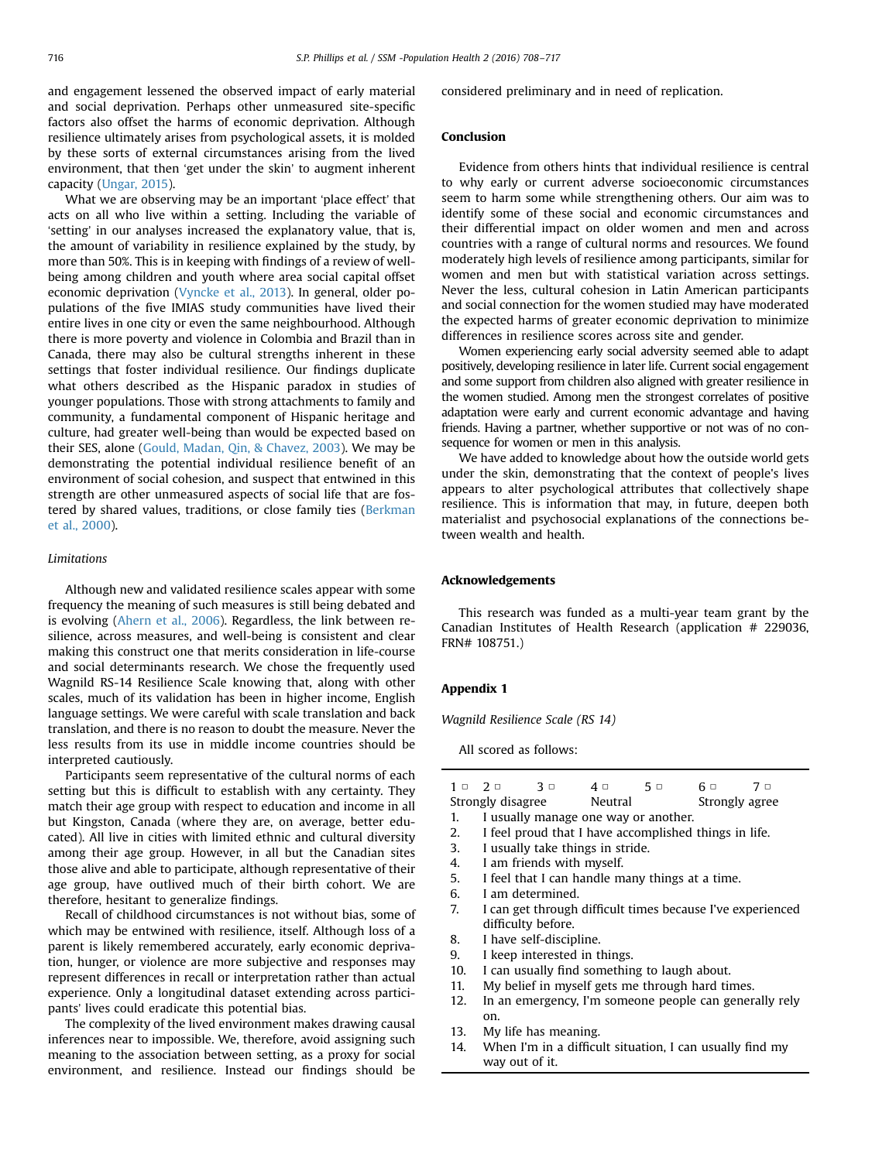<span id="page-8-0"></span>and engagement lessened the observed impact of early material and social deprivation. Perhaps other unmeasured site-specific factors also offset the harms of economic deprivation. Although resilience ultimately arises from psychological assets, it is molded by these sorts of external circumstances arising from the lived environment, that then 'get under the skin' to augment inherent capacity ([Ungar, 2015\)](#page-9-0).

What we are observing may be an important 'place effect' that acts on all who live within a setting. Including the variable of 'setting' in our analyses increased the explanatory value, that is, the amount of variability in resilience explained by the study, by more than 50%. This is in keeping with findings of a review of wellbeing among children and youth where area social capital offset economic deprivation [\(Vyncke et al., 2013\)](#page-9-0). In general, older populations of the five IMIAS study communities have lived their entire lives in one city or even the same neighbourhood. Although there is more poverty and violence in Colombia and Brazil than in Canada, there may also be cultural strengths inherent in these settings that foster individual resilience. Our findings duplicate what others described as the Hispanic paradox in studies of younger populations. Those with strong attachments to family and community, a fundamental component of Hispanic heritage and culture, had greater well-being than would be expected based on their SES, alone ([Gould, Madan, Qin, & Chavez, 2003\)](#page-9-0). We may be demonstrating the potential individual resilience benefit of an environment of social cohesion, and suspect that entwined in this strength are other unmeasured aspects of social life that are fostered by shared values, traditions, or close family ties ([Berkman](#page-9-0) [et al., 2000\)](#page-9-0).

## Limitations

Although new and validated resilience scales appear with some frequency the meaning of such measures is still being debated and is evolving [\(Ahern et al., 2006](#page-9-0)). Regardless, the link between resilience, across measures, and well-being is consistent and clear making this construct one that merits consideration in life-course and social determinants research. We chose the frequently used Wagnild RS-14 Resilience Scale knowing that, along with other scales, much of its validation has been in higher income, English language settings. We were careful with scale translation and back translation, and there is no reason to doubt the measure. Never the less results from its use in middle income countries should be interpreted cautiously.

Participants seem representative of the cultural norms of each setting but this is difficult to establish with any certainty. They match their age group with respect to education and income in all but Kingston, Canada (where they are, on average, better educated). All live in cities with limited ethnic and cultural diversity among their age group. However, in all but the Canadian sites those alive and able to participate, although representative of their age group, have outlived much of their birth cohort. We are therefore, hesitant to generalize findings.

Recall of childhood circumstances is not without bias, some of which may be entwined with resilience, itself. Although loss of a parent is likely remembered accurately, early economic deprivation, hunger, or violence are more subjective and responses may represent differences in recall or interpretation rather than actual experience. Only a longitudinal dataset extending across participants' lives could eradicate this potential bias.

The complexity of the lived environment makes drawing causal inferences near to impossible. We, therefore, avoid assigning such meaning to the association between setting, as a proxy for social environment, and resilience. Instead our findings should be considered preliminary and in need of replication.

## Conclusion

Evidence from others hints that individual resilience is central to why early or current adverse socioeconomic circumstances seem to harm some while strengthening others. Our aim was to identify some of these social and economic circumstances and their differential impact on older women and men and across countries with a range of cultural norms and resources. We found moderately high levels of resilience among participants, similar for women and men but with statistical variation across settings. Never the less, cultural cohesion in Latin American participants and social connection for the women studied may have moderated the expected harms of greater economic deprivation to minimize differences in resilience scores across site and gender.

Women experiencing early social adversity seemed able to adapt positively, developing resilience in later life. Current social engagement and some support from children also aligned with greater resilience in the women studied. Among men the strongest correlates of positive adaptation were early and current economic advantage and having friends. Having a partner, whether supportive or not was of no consequence for women or men in this analysis.

We have added to knowledge about how the outside world gets under the skin, demonstrating that the context of people's lives appears to alter psychological attributes that collectively shape resilience. This is information that may, in future, deepen both materialist and psychosocial explanations of the connections between wealth and health.

## Acknowledgements

This research was funded as a multi-year team grant by the Canadian Institutes of Health Research (application # 229036, FRN# 108751.)

## Appendix 1

Wagnild Resilience Scale (RS 14)

All scored as follows:

| $1 \cup 2 \cup$ |                                                       | 3 □                     | $4\circ$                                     | 5 □ | 6 □            | 7 □                                                        |  |  |  |
|-----------------|-------------------------------------------------------|-------------------------|----------------------------------------------|-----|----------------|------------------------------------------------------------|--|--|--|
|                 | Strongly disagree                                     |                         | Neutral                                      |     | Strongly agree |                                                            |  |  |  |
| 1.              | I usually manage one way or another.                  |                         |                                              |     |                |                                                            |  |  |  |
| 2.              | I feel proud that I have accomplished things in life. |                         |                                              |     |                |                                                            |  |  |  |
| 3.              | I usually take things in stride.                      |                         |                                              |     |                |                                                            |  |  |  |
| 4.              | I am friends with myself.                             |                         |                                              |     |                |                                                            |  |  |  |
| 5.              | I feel that I can handle many things at a time.       |                         |                                              |     |                |                                                            |  |  |  |
| 6.              |                                                       | I am determined.        |                                              |     |                |                                                            |  |  |  |
| 7.              |                                                       |                         |                                              |     |                | I can get through difficult times because I've experienced |  |  |  |
|                 | difficulty before.                                    |                         |                                              |     |                |                                                            |  |  |  |
| 8.              |                                                       | I have self-discipline. |                                              |     |                |                                                            |  |  |  |
| 9.              |                                                       |                         | I keep interested in things.                 |     |                |                                                            |  |  |  |
| 10.             |                                                       |                         | I can usually find something to laugh about. |     |                |                                                            |  |  |  |

- 11. My belief in myself gets me through hard times.
- 12. In an emergency, I'm someone people can generally rely on.
- 13. My life has meaning.
- 14. When I'm in a difficult situation, I can usually find my way out of it.